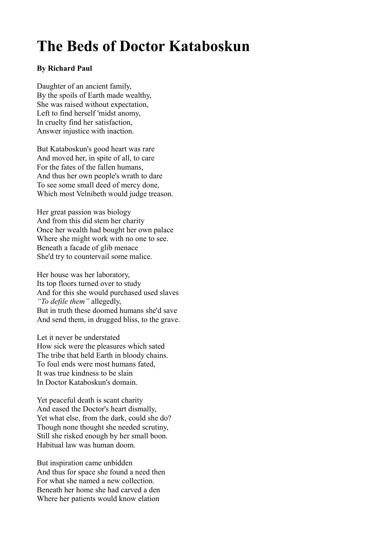## **The Beds of Doctor Kataboskun**

## **By Richard Paul**

Daughter of an ancient family, By the spoils of Earth made wealthy, She was raised without expectation, Left to find herself 'midst anomy, In cruelty find her satisfaction, Answer injustice with inaction.

But Kataboskun's good heart was rare And moved her, in spite of all, to care For the fates of the fallen humans, And thus her own people's wrath to dare To see some small deed of mercy done, Which most Velnibeth would judge treason.

Her great passion was biology And from this did stem her charity Once her wealth had bought her own palace Where she might work with no one to see. Beneath a facade of glib menace She'd try to countervail some malice.

Her house was her laboratory, Its top floors turned over to study And for this she would purchased used slaves *"To defile them"* allegedly, But in truth these doomed humans she'd save And send them, in drugged bliss, to the grave.

Let it never be understated How sick were the pleasures which sated The tribe that held Earth in bloody chains. To foul ends were most humans fated, It was true kindness to be slain In Doctor Kataboskun's domain.

Yet peaceful death is scant charity And eased the Doctor's heart dismally, Yet what else, from the dark, could she do? Though none thought she needed scrutiny, Still she risked enough by her small boon. Habitual law was human doom.

But inspiration came unbidden And thus for space she found a need then For what she named a new collection. Beneath her home she had carved a den Where her patients would know elation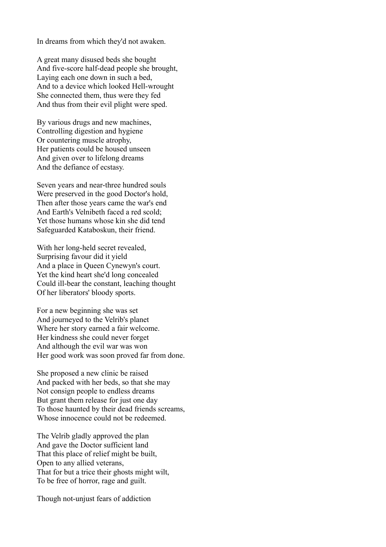In dreams from which they'd not awaken.

A great many disused beds she bought And five-score half-dead people she brought, Laying each one down in such a bed, And to a device which looked Hell-wrought She connected them, thus were they fed And thus from their evil plight were sped.

By various drugs and new machines, Controlling digestion and hygiene Or countering muscle atrophy, Her patients could be housed unseen And given over to lifelong dreams And the defiance of ecstasy.

Seven years and near-three hundred souls Were preserved in the good Doctor's hold, Then after those years came the war's end And Earth's Velnibeth faced a red scold; Yet those humans whose kin she did tend Safeguarded Kataboskun, their friend.

With her long-held secret revealed, Surprising favour did it yield And a place in Queen Cynewyn's court. Yet the kind heart she'd long concealed Could ill-bear the constant, leaching thought Of her liberators' bloody sports.

For a new beginning she was set And journeyed to the Velrib's planet Where her story earned a fair welcome. Her kindness she could never forget And although the evil war was won Her good work was soon proved far from done.

She proposed a new clinic be raised And packed with her beds, so that she may Not consign people to endless dreams But grant them release for just one day To those haunted by their dead friends screams, Whose innocence could not be redeemed.

The Velrib gladly approved the plan And gave the Doctor sufficient land That this place of relief might be built, Open to any allied veterans, That for but a trice their ghosts might wilt, To be free of horror, rage and guilt.

Though not-unjust fears of addiction